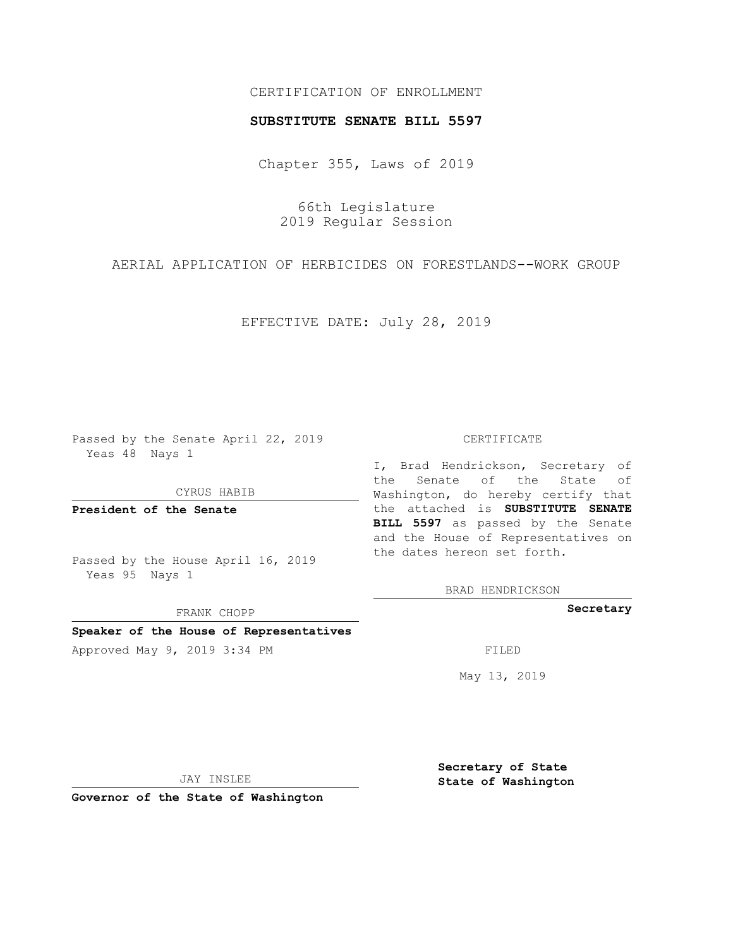## CERTIFICATION OF ENROLLMENT

### **SUBSTITUTE SENATE BILL 5597**

Chapter 355, Laws of 2019

66th Legislature 2019 Regular Session

AERIAL APPLICATION OF HERBICIDES ON FORESTLANDS--WORK GROUP

EFFECTIVE DATE: July 28, 2019

Passed by the Senate April 22, 2019 Yeas 48 Nays 1

CYRUS HABIB

**President of the Senate**

Passed by the House April 16, 2019 Yeas 95 Nays 1

FRANK CHOPP

**Speaker of the House of Representatives**

Approved May 9, 2019 3:34 PM FILED

#### CERTIFICATE

I, Brad Hendrickson, Secretary of the Senate of the State of Washington, do hereby certify that the attached is **SUBSTITUTE SENATE BILL 5597** as passed by the Senate and the House of Representatives on the dates hereon set forth.

BRAD HENDRICKSON

**Secretary**

May 13, 2019

JAY INSLEE

**Governor of the State of Washington**

**Secretary of State State of Washington**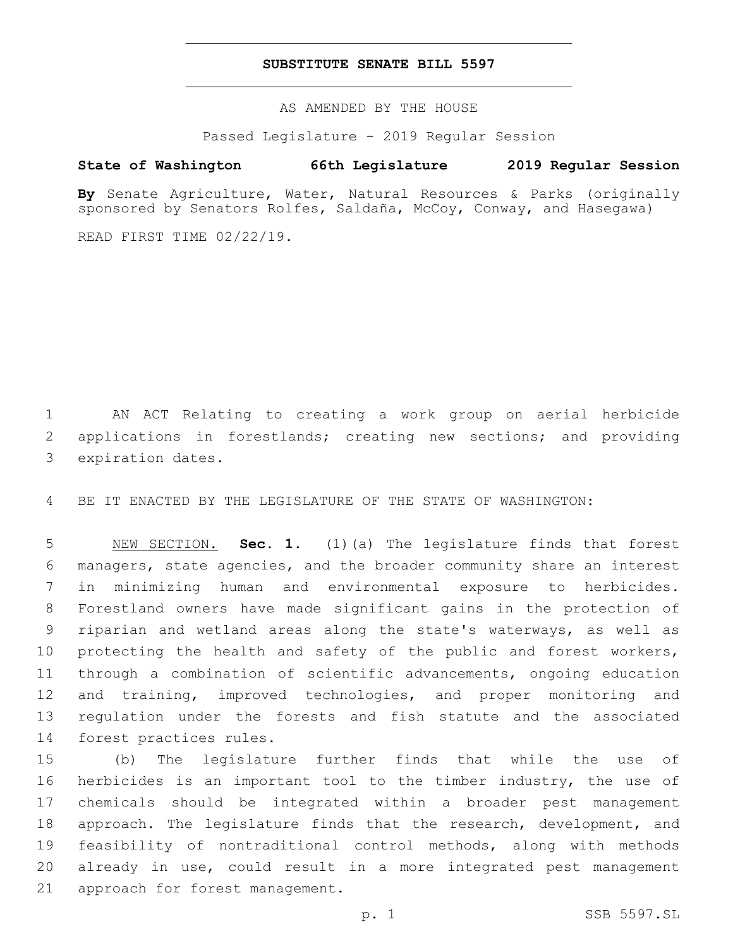## **SUBSTITUTE SENATE BILL 5597**

AS AMENDED BY THE HOUSE

Passed Legislature - 2019 Regular Session

# **State of Washington 66th Legislature 2019 Regular Session**

**By** Senate Agriculture, Water, Natural Resources & Parks (originally sponsored by Senators Rolfes, Saldaña, McCoy, Conway, and Hasegawa)

READ FIRST TIME 02/22/19.

1 AN ACT Relating to creating a work group on aerial herbicide 2 applications in forestlands; creating new sections; and providing 3 expiration dates.

4 BE IT ENACTED BY THE LEGISLATURE OF THE STATE OF WASHINGTON:

 NEW SECTION. **Sec. 1.** (1)(a) The legislature finds that forest managers, state agencies, and the broader community share an interest in minimizing human and environmental exposure to herbicides. Forestland owners have made significant gains in the protection of riparian and wetland areas along the state's waterways, as well as 10 protecting the health and safety of the public and forest workers, through a combination of scientific advancements, ongoing education and training, improved technologies, and proper monitoring and regulation under the forests and fish statute and the associated forest practices rules.

 (b) The legislature further finds that while the use of herbicides is an important tool to the timber industry, the use of chemicals should be integrated within a broader pest management approach. The legislature finds that the research, development, and feasibility of nontraditional control methods, along with methods already in use, could result in a more integrated pest management 21 approach for forest management.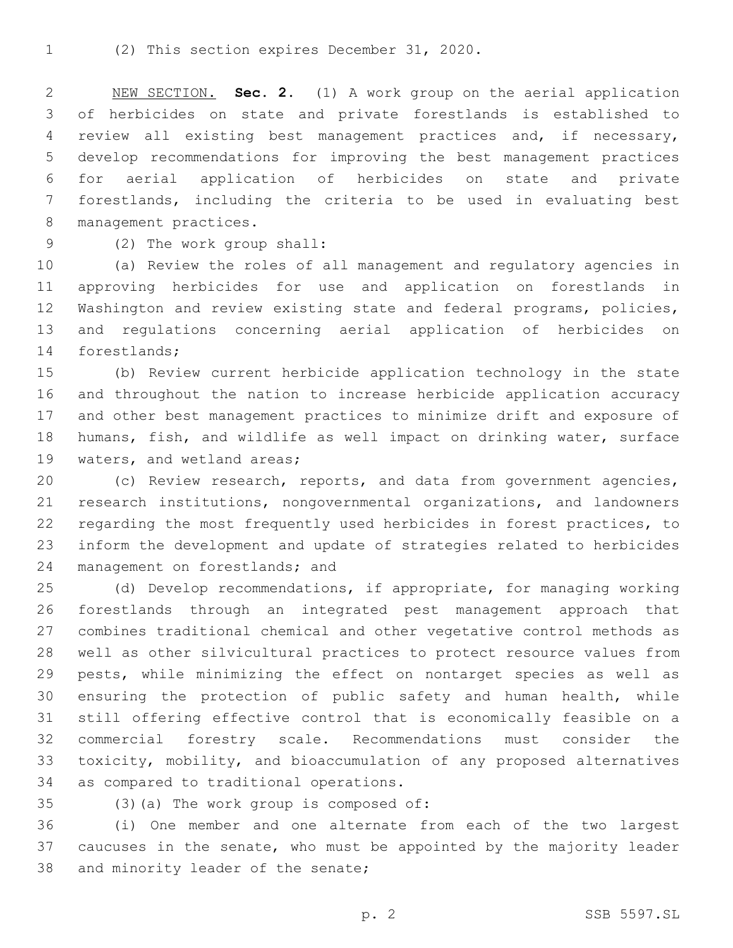NEW SECTION. **Sec. 2.** (1) A work group on the aerial application of herbicides on state and private forestlands is established to review all existing best management practices and, if necessary, develop recommendations for improving the best management practices for aerial application of herbicides on state and private forestlands, including the criteria to be used in evaluating best management practices.

(2) The work group shall:9

 (a) Review the roles of all management and regulatory agencies in approving herbicides for use and application on forestlands in Washington and review existing state and federal programs, policies, and regulations concerning aerial application of herbicides on 14 forestlands;

 (b) Review current herbicide application technology in the state and throughout the nation to increase herbicide application accuracy and other best management practices to minimize drift and exposure of humans, fish, and wildlife as well impact on drinking water, surface 19 waters, and wetland areas;

 (c) Review research, reports, and data from government agencies, research institutions, nongovernmental organizations, and landowners regarding the most frequently used herbicides in forest practices, to inform the development and update of strategies related to herbicides 24 management on forestlands; and

 (d) Develop recommendations, if appropriate, for managing working forestlands through an integrated pest management approach that combines traditional chemical and other vegetative control methods as well as other silvicultural practices to protect resource values from pests, while minimizing the effect on nontarget species as well as ensuring the protection of public safety and human health, while still offering effective control that is economically feasible on a commercial forestry scale. Recommendations must consider the toxicity, mobility, and bioaccumulation of any proposed alternatives 34 as compared to traditional operations.

(3)(a) The work group is composed of:

 (i) One member and one alternate from each of the two largest caucuses in the senate, who must be appointed by the majority leader 38 and minority leader of the senate;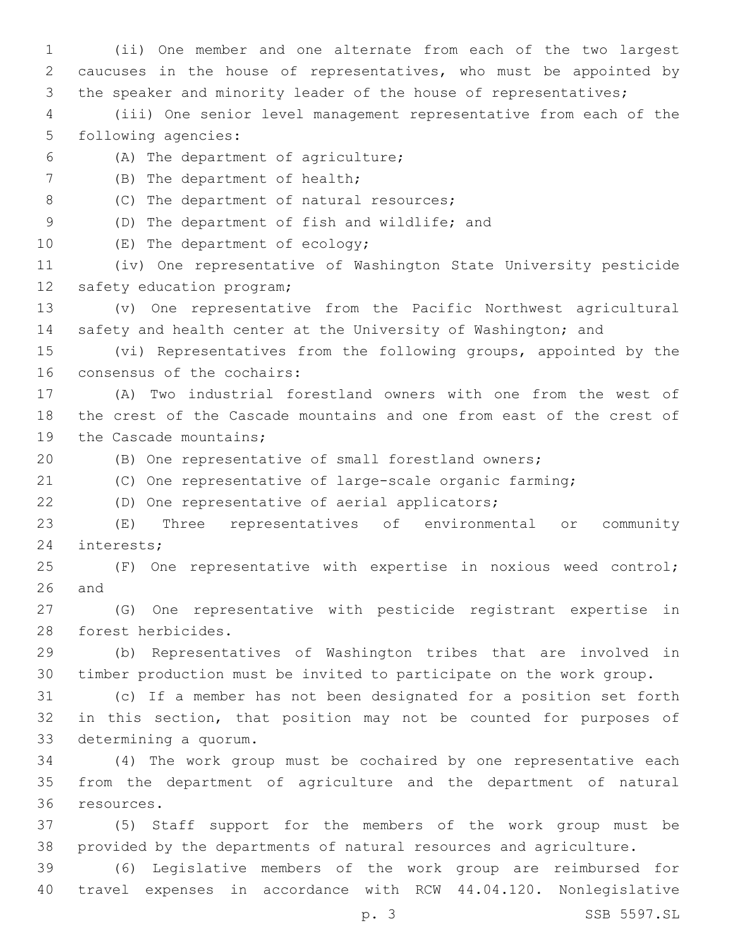1 (ii) One member and one alternate from each of the two largest 2 caucuses in the house of representatives, who must be appointed by 3 the speaker and minority leader of the house of representatives; 4 (iii) One senior level management representative from each of the 5 following agencies: (A) The department of agriculture;6 7 (B) The department of health; 8 (C) The department of natural resources; 9 (D) The department of fish and wildlife; and 10 (E) The department of ecology; 11 (iv) One representative of Washington State University pesticide 12 safety education program; 13 (v) One representative from the Pacific Northwest agricultural 14 safety and health center at the University of Washington; and 15 (vi) Representatives from the following groups, appointed by the 16 consensus of the cochairs: 17 (A) Two industrial forestland owners with one from the west of 18 the crest of the Cascade mountains and one from east of the crest of 19 the Cascade mountains; 20 (B) One representative of small forestland owners; 21 (C) One representative of large-scale organic farming; 22 (D) One representative of aerial applicators; 23 (E) Three representatives of environmental or community 24 interests; 25 (F) One representative with expertise in noxious weed control;  $26$  and 27 (G) One representative with pesticide registrant expertise in 28 forest herbicides. 29 (b) Representatives of Washington tribes that are involved in 30 timber production must be invited to participate on the work group. 31 (c) If a member has not been designated for a position set forth 32 in this section, that position may not be counted for purposes of 33 determining a quorum. 34 (4) The work group must be cochaired by one representative each 35 from the department of agriculture and the department of natural 36 resources. 37 (5) Staff support for the members of the work group must be 38 provided by the departments of natural resources and agriculture. 39 (6) Legislative members of the work group are reimbursed for 40 travel expenses in accordance with RCW 44.04.120. Nonlegislative p. 3 SSB 5597.SL